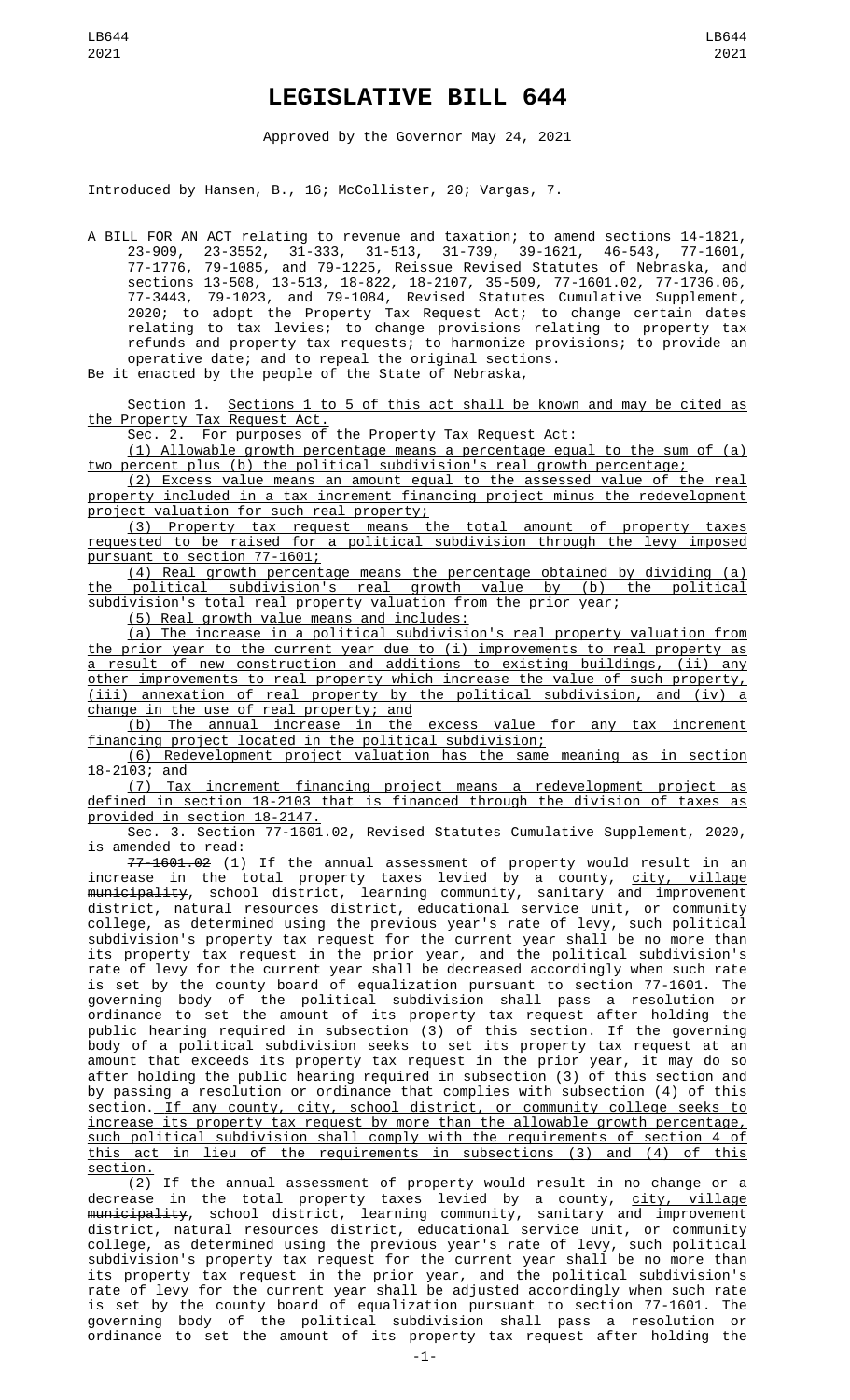## **LEGISLATIVE BILL 644**

Approved by the Governor May 24, 2021

Introduced by Hansen, B., 16; McCollister, 20; Vargas, 7.

A BILL FOR AN ACT relating to revenue and taxation; to amend sections 14-1821, 23-909, 23-3552, 31-333, 31-513, 31-739, 39-1621, 46-543, 77-1601, 77-1776, 79-1085, and 79-1225, Reissue Revised Statutes of Nebraska, and sections 13-508, 13-513, 18-822, 18-2107, 35-509, 77-1601.02, 77-1736.06, 77-3443, 79-1023, and 79-1084, Revised Statutes Cumulative Supplement, 2020; to adopt the Property Tax Request Act; to change certain dates relating to tax levies; to change provisions relating to property tax refunds and property tax requests; to harmonize provisions; to provide an operative date; and to repeal the original sections.

Be it enacted by the people of the State of Nebraska,

Section 1. Sections 1 to 5 of this act shall be known and may be cited as the Property Tax Request Act.

Sec. 2. For purposes of the Property Tax Request Act:

(1) Allowable growth percentage means a percentage equal to the sum of (a) percent plus (b) the political subdivision's real growth percentage;

(2) Excess value means an amount equal to the assessed value of the real property included in a tax increment financing project minus the redevelopment project valuation for such real property;

(3) Property tax request means the total amount of property taxes requested to be raised for a political subdivision through the levy imposed pursuant to section 77-1601;

(4) Real growth percentage means the percentage obtained by dividing (a) the political subdivision's real growth value by (b) the political subdivision's total real property valuation from the prior year;

(5) Real growth value means and includes:

(a) The increase in a political subdivision's real property valuation from the prior year to the current year due to (i) improvements to real property as a result of new construction and additions to existing buildings, (ii) any other improvements to real property which increase the value of such property, (iii) annexation of real property by the political subdivision, and (iv) a change in the use of real property; and

(b) The annual increase in the excess value for any tax increment financing project located in the political subdivision;

(6) Redevelopment project valuation has the same meaning as in section 18-2103; and

(7) Tax increment financing project means a redevelopment project as defined in section 18-2103 that is financed through the division of taxes as provided in section 18-2147.

Sec. 3. Section 77-1601.02, Revised Statutes Cumulative Supplement, 2020, is amended to read:

77-1601.02 (1) If the annual assessment of property would result in an increase in the total property taxes levied by a county, <u>city, village</u> <del>municipality</del>, school district, learning community, sanitary and improvement district, natural resources district, educational service unit, or community college, as determined using the previous year's rate of levy, such political subdivision's property tax request for the current year shall be no more than its property tax request in the prior year, and the political subdivision's rate of levy for the current year shall be decreased accordingly when such rate is set by the county board of equalization pursuant to section 77-1601. The governing body of the political subdivision shall pass a resolution or ordinance to set the amount of its property tax request after holding the public hearing required in subsection (3) of this section. If the governing body of a political subdivision seeks to set its property tax request at an amount that exceeds its property tax request in the prior year, it may do so after holding the public hearing required in subsection (3) of this section and by passing a resolution or ordinance that complies with subsection (4) of this section. If any county, city, school district, or community college seeks to increase its property tax request by more than the allowable growth percentage, such political subdivision shall comply with the requirements of section 4 of<br>this act in lieu of the requirements in subsections (3) and (4) of this this act in lieu of the requirements in subsections (3) and (4) of this section.

(2) If the annual assessment of property would result in no change or a decrease in the total property taxes levied by a county, <u>city, village</u> <del>municipality</del>, school district, learning community, sanitary and improvement district, natural resources district, educational service unit, or community college, as determined using the previous year's rate of levy, such political subdivision's property tax request for the current year shall be no more than its property tax request in the prior year, and the political subdivision's rate of levy for the current year shall be adjusted accordingly when such rate is set by the county board of equalization pursuant to section 77-1601. The governing body of the political subdivision shall pass a resolution or ordinance to set the amount of its property tax request after holding the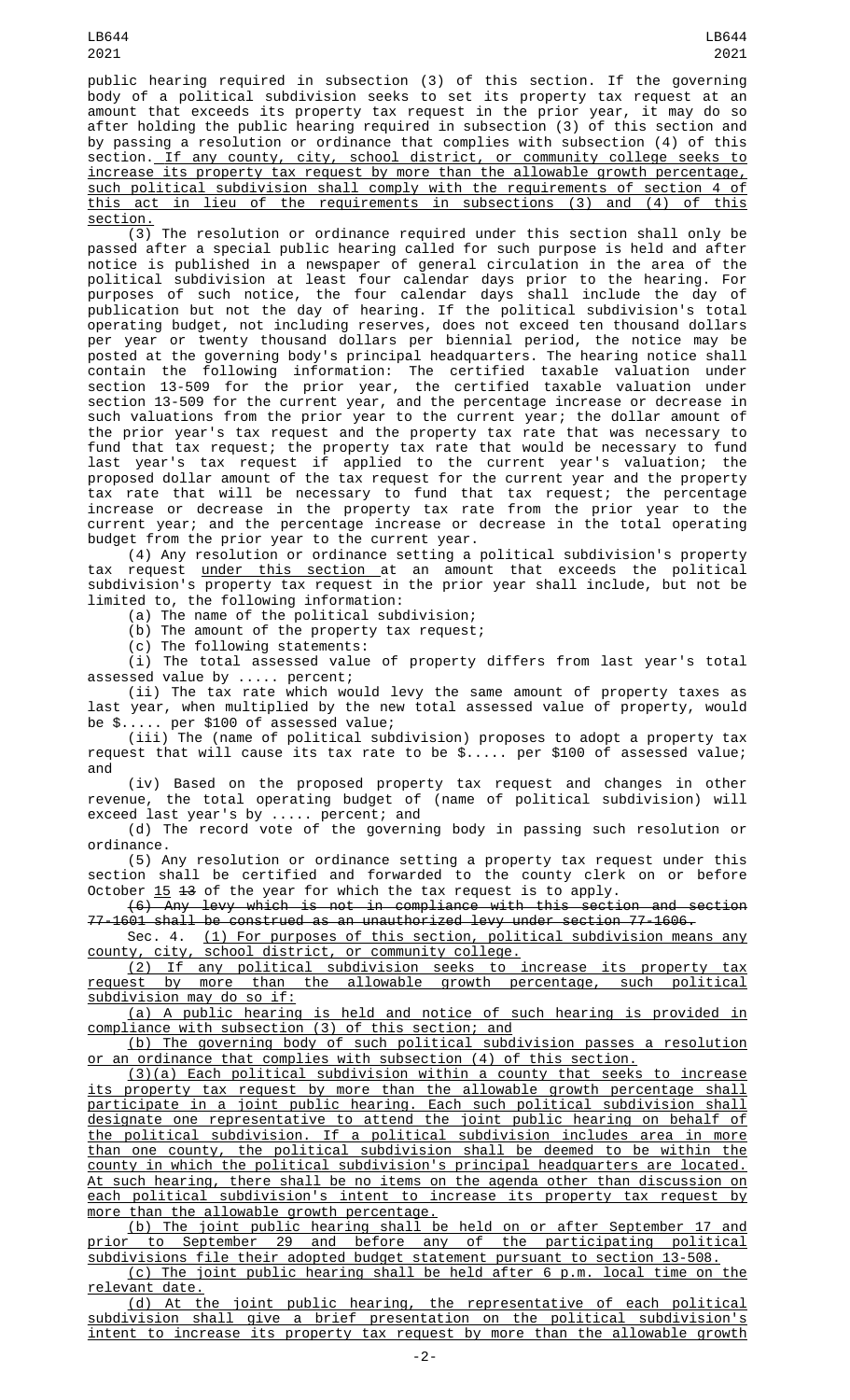public hearing required in subsection (3) of this section. If the governing body of a political subdivision seeks to set its property tax request at an amount that exceeds its property tax request in the prior year, it may do so after holding the public hearing required in subsection (3) of this section and by passing a resolution or ordinance that complies with subsection (4) of this section. If any county, city, school district, or community college seeks to increase its property tax request by more than the allowable growth percentage, such political subdivision shall comply with the requirements of section 4 of this act in lieu of the requirements in subsections (3) and (4) of this <u>section.</u>

(3) The resolution or ordinance required under this section shall only be passed after a special public hearing called for such purpose is held and after notice is published in a newspaper of general circulation in the area of the political subdivision at least four calendar days prior to the hearing. For purposes of such notice, the four calendar days shall include the day of publication but not the day of hearing. If the political subdivision's total operating budget, not including reserves, does not exceed ten thousand dollars per year or twenty thousand dollars per biennial period, the notice may be posted at the governing body's principal headquarters. The hearing notice shall contain the following information: The certified taxable valuation under section 13-509 for the prior year, the certified taxable valuation under section 13-509 for the current year, and the percentage increase or decrease in such valuations from the prior year to the current year; the dollar amount of the prior year's tax request and the property tax rate that was necessary to fund that tax request; the property tax rate that would be necessary to fund last year's tax request if applied to the current year's valuation; the proposed dollar amount of the tax request for the current year and the property tax rate that will be necessary to fund that tax request; the percentage increase or decrease in the property tax rate from the prior year to the current year; and the percentage increase or decrease in the total operating budget from the prior year to the current year.

(4) Any resolution or ordinance setting a political subdivision's property tax request under this section at an amount that exceeds the political subdivision's property tax request in the prior year shall include, but not be limited to, the following information:

(a) The name of the political subdivision;

(b) The amount of the property tax request;

(c) The following statements:

(i) The total assessed value of property differs from last year's total assessed value by ..... percent;

(ii) The tax rate which would levy the same amount of property taxes as last year, when multiplied by the new total assessed value of property, would be \$..... per \$100 of assessed value;

(iii) The (name of political subdivision) proposes to adopt a property tax request that will cause its tax rate to be \$..... per \$100 of assessed value; and

(iv) Based on the proposed property tax request and changes in other revenue, the total operating budget of (name of political subdivision) will exceed last year's by ..... percent; and

(d) The record vote of the governing body in passing such resolution or ordinance.

(5) Any resolution or ordinance setting a property tax request under this section shall be certified and forwarded to the county clerk on or before October <u>15</u> <del>13</del> of the year for which the tax request is to apply.

(6) Any levy which is not in compliance with this section and section 77-1601 shall be construed as an unauthorized levy under section 77-1606.

Sec. 4. (1) For purposes of this section, political subdivision means any county, city, school district, or community college.

(2) If any political subdivision seeks to increase its property tax request by more than the allowable growth percentage, such political subdivision may do so if:

(a) A public hearing is held and notice of such hearing is provided in compliance with subsection (3) of this section; and

(b) The governing body of such political subdivision passes a resolution or an ordinance that complies with subsection (4) of this section.

(3)(a) Each political subdivision within a county that seeks to increase its property tax request by more than the allowable growth percentage shall participate in a joint public hearing. Each such political subdivision shall designate one representative to attend the joint public hearing on behalf of the political subdivision. If a political subdivision includes area in more than one county, the political subdivision shall be deemed to be within the county in which the political subdivision's principal headquarters are located. At such hearing, there shall be no items on the agenda other than discussion on each political subdivision's intent to increase its property tax request by more than the allowable growth percentage.

(b) The joint public hearing shall be held on or after September 17 and prior to September 29 and before any of the participating political subdivisions file their adopted budget statement pursuant to section 13-508.

(c) The joint public hearing shall be held after 6 p.m. local time on the

<u>relevant date.</u><br>(d) At the joint public hearing, the representative of each political subdivision shall give a brief presentation on the political subdivision's intent to increase its property tax request by more than the allowable growth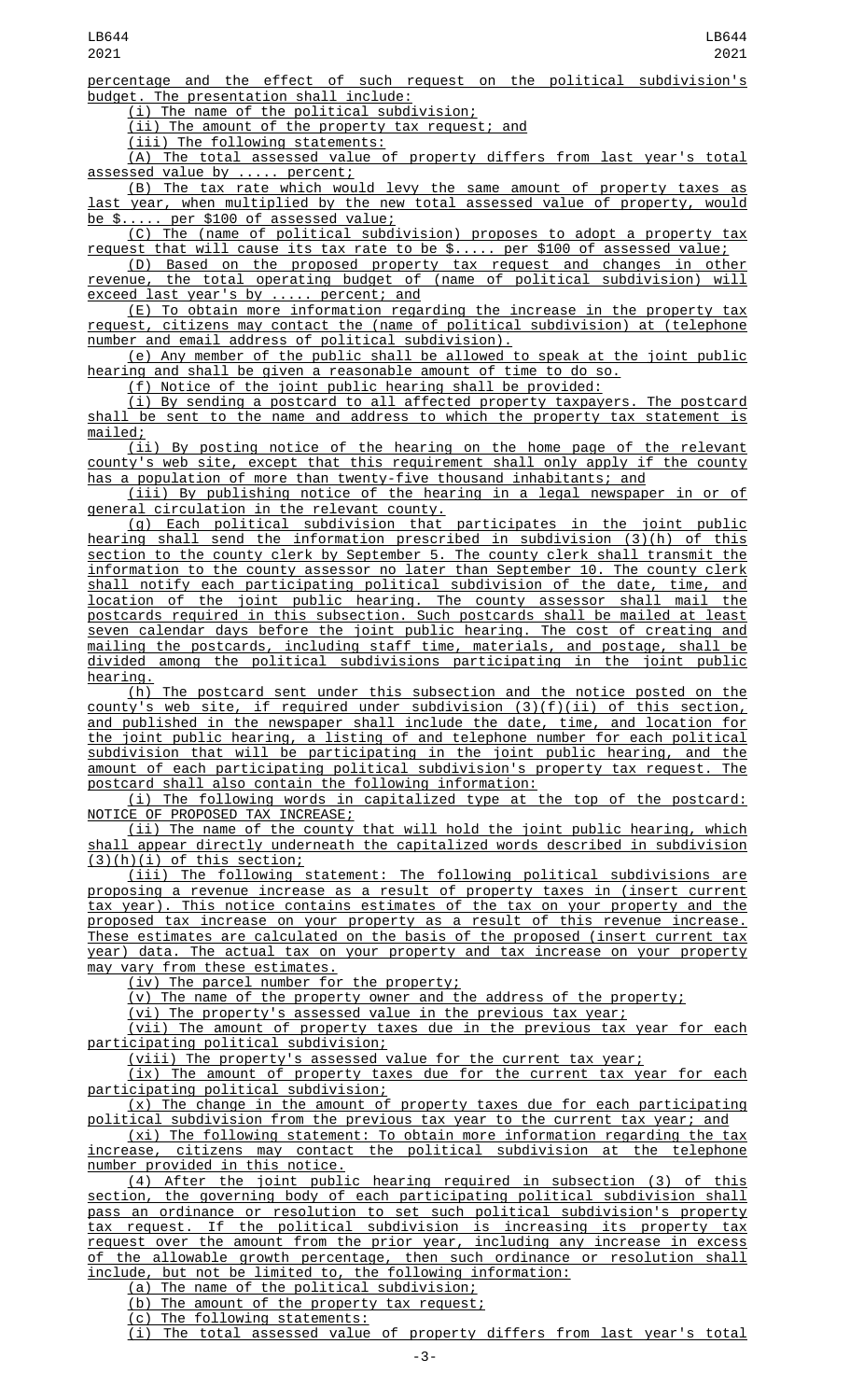percentage and the effect of such request on the political subdivision's budget. The presentation shall include:

(i) The name of the political subdivision;

(ii) The amount of the property tax request; and

(iii) The following statements:

(A) The total assessed value of property differs from last year's total assessed value by ..... percent;

(B) The tax rate which would levy the same amount of property taxes as last year, when multiplied by the new total assessed value of property, would be \$..... per \$100 of assessed value;

(C) The (name of political subdivision) proposes to adopt a property tax request that will cause its tax rate to be \$..... per \$100 of assessed value;

(D) Based on the proposed property tax request and changes in other<br>revenue, the total operating budget of (name of political subdivision) will  $t$ he total operating budget of (name of political subdivision) will exceed last year's by ..... percent; and

(E) To obtain more information regarding the increase in the property tax request, citizens may contact the (name of political subdivision) at (telephone number and email address of political subdivision).

(e) Any member of the public shall be allowed to speak at the joint public ing and shall be given a reasonable amount of time to do so.

(f) Notice of the joint public hearing shall be provided:

(i) By sending a postcard to all affected property taxpayers. The postcard shall be sent to the name and address to which the property tax statement is mailed;

(ii) By posting notice of the hearing on the home page of the relevant county's web site, except that this requirement shall only apply if the county has a population of more than twenty-five thousand inhabitants; and

(iii) By publishing notice of the hearing in a legal newspaper in or of general circulation in the relevant county.

(g) Each political subdivision that participates in the joint public hearing shall send the information prescribed in subdivision (3)(h) of this section to the county clerk by September 5. The county clerk shall transmit the information to the county assessor no later than September 10. The county clerk shall notify each participating political subdivision of the date, time, and location of the joint public hearing. The county assessor shall mail the postcards required in this subsection. Such postcards shall be mailed at least seven calendar days before the joint public hearing. The cost of creating and mailing the postcards, including staff time, materials, and postage, shall be divided among the political subdivisions participating in the joint public hearing.

(h) The postcard sent under this subsection and the notice posted on the county's web site, if required under subdivision (3)(f)(ii) of this section, and published in the newspaper shall include the date, time, and location for the joint public hearing, a listing of and telephone number for each political subdivision that will be participating in the joint public hearing, and the amount of each participating political subdivision's property tax request. The postcard shall also contain the following information:

(i) The following words in capitalized type at the top of the postcard: NOTICE OF PROPOSED TAX INCREASE;

(ii) The name of the county that will hold the joint public hearing, which shall appear directly underneath the capitalized words described in subdivision  $(3)(h)(i)$  of this section;

(iii) The following statement: The following political subdivisions are proposing a revenue increase as a result of property taxes in (insert current tax year). This notice contains estimates of the tax on your property and the proposed tax increase on your property as a result of this revenue increase. These estimates are calculated on the basis of the proposed (insert current tax year) data. The actual tax on your property and tax increase on your property may vary from these estimates.

(iv) The parcel number for the property;

(v) The name of the property owner and the address of the property;

(vi) The property's assessed value in the previous tax year;

(vii) The amount of property taxes due in the previous tax year for each participating political subdivision;

(viii) The property's assessed value for the current tax year;

(ix) The amount of property taxes due for the current tax year for each participating political subdivision;

(x) The change in the amount of property taxes due for each participating political subdivision from the previous tax year to the current tax year; and

(xi) The following statement: To obtain more information regarding the tax increase, citizens may contact the political subdivision at the telephone number provided in this notice.

(4) After the joint public hearing required in subsection (3) of this section, the governing body of each participating political subdivision shall pass an ordinance or resolution to set such political subdivision's property tax request. If the political subdivision is increasing its property tax request over the amount from the prior year, including any increase in excess of the allowable growth percentage, then such ordinance or resolution shall include, but not be limited to, the following information:

(a) The name of the political subdivision;

(b) The amount of the property tax request;

(c) The following statements:

The total assessed value of property differs from last year's total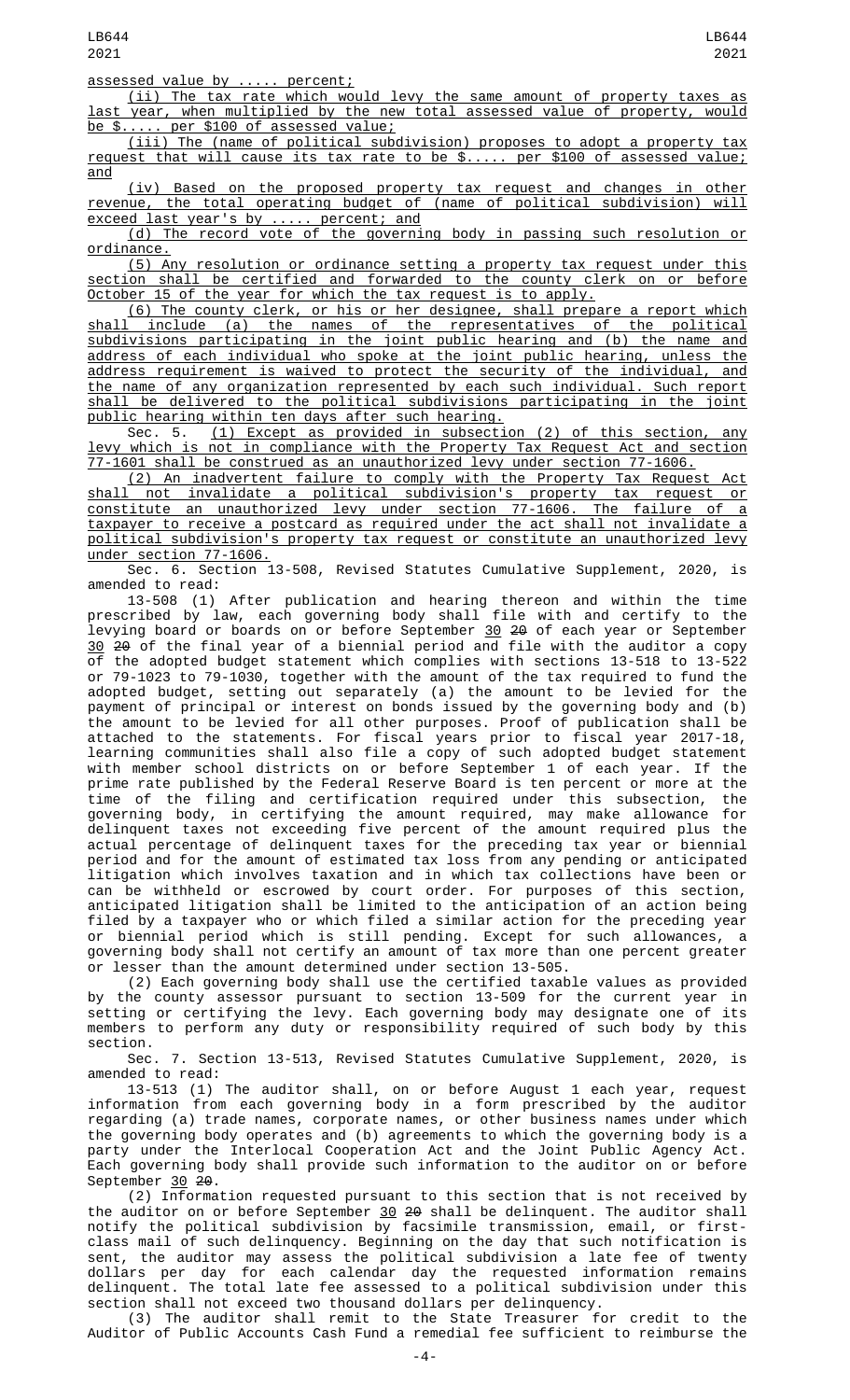assessed value by ..... percent;

(ii) The tax rate which would levy the same amount of property taxes as last year, when multiplied by the new total assessed value of property, would be \$..... per \$100 of assessed value;

(iii) The (name of political subdivision) proposes to adopt a property tax request that will cause its tax rate to be \$..... per \$100 of assessed value; and

(iv) Based on the proposed property tax request and changes in other revenue, the total operating budget of (name of political subdivision) will exceed last year's by ..... percent; and

(d) The record vote of the governing body in passing such resolution or ordinance.

(5) Any resolution or ordinance setting a property tax request under this section shall be certified and forwarded to the county clerk on or before October 15 of the year for which the tax request is to apply.

(6) The county clerk, or his or her designee, shall prepare a report which shall include (a) the names of the representatives of the political subdivisions participating in the joint public hearing and (b) the name and address of each individual who spoke at the joint public hearing, unless the address requirement is waived to protect the security of the individual, and the name of any organization represented by each such individual. Such report shall be delivered to the political subdivisions participating in the joint public hearing within ten days after such hearing.

Sec. 5. (1) Except as provided in subsection (2) of this section, any levy which is not in compliance with the Property Tax Request Act and section 77-1601 shall be construed as an unauthorized levy under section 77-1606.

(2) An inadvertent failure to comply with the Property Tax Request Act shall not invalidate a political subdivision's property tax request or constitute an unauthorized levy under section 77-1606. The failure of a taxpayer to receive a postcard as required under the act shall not invalidate a political subdivision's property tax request or constitute an unauthorized levy under section 77-1606.

Sec. 6. Section 13-508, Revised Statutes Cumulative Supplement, 2020, is amended to read:

13-508 (1) After publication and hearing thereon and within the time prescribed by law, each governing body shall file with and certify to the levying board or boards on or before September <u>30</u> 2<del>0</del> of each year or September 30 20 of the final year of a biennial period and file with the auditor a copy of the adopted budget statement which complies with sections 13-518 to 13-522 or 79-1023 to 79-1030, together with the amount of the tax required to fund the adopted budget, setting out separately (a) the amount to be levied for the payment of principal or interest on bonds issued by the governing body and (b) the amount to be levied for all other purposes. Proof of publication shall be attached to the statements. For fiscal years prior to fiscal year 2017-18, learning communities shall also file a copy of such adopted budget statement with member school districts on or before September 1 of each year. If the prime rate published by the Federal Reserve Board is ten percent or more at the time of the filing and certification required under this subsection, the governing body, in certifying the amount required, may make allowance for delinquent taxes not exceeding five percent of the amount required plus the actual percentage of delinquent taxes for the preceding tax year or biennial period and for the amount of estimated tax loss from any pending or anticipated litigation which involves taxation and in which tax collections have been or can be withheld or escrowed by court order. For purposes of this section, anticipated litigation shall be limited to the anticipation of an action being filed by a taxpayer who or which filed a similar action for the preceding year or biennial period which is still pending. Except for such allowances, a governing body shall not certify an amount of tax more than one percent greater or lesser than the amount determined under section 13-505.

(2) Each governing body shall use the certified taxable values as provided by the county assessor pursuant to section 13-509 for the current year in setting or certifying the levy. Each governing body may designate one of its members to perform any duty or responsibility required of such body by this section.

Sec. 7. Section 13-513, Revised Statutes Cumulative Supplement, 2020, is amended to read:

13-513 (1) The auditor shall, on or before August 1 each year, request information from each governing body in a form prescribed by the auditor regarding (a) trade names, corporate names, or other business names under which the governing body operates and (b) agreements to which the governing body is a party under the Interlocal Cooperation Act and the Joint Public Agency Act. Each governing body shall provide such information to the auditor on or before September 30 20.

(2) Information requested pursuant to this section that is not received by the auditor on or before September 30 2<del>0</del> shall be delinquent. The auditor shall notify the political subdivision by facsimile transmission, email, or firstclass mail of such delinquency. Beginning on the day that such notification is sent, the auditor may assess the political subdivision a late fee of twenty dollars per day for each calendar day the requested information remains delinquent. The total late fee assessed to a political subdivision under this section shall not exceed two thousand dollars per delinquency.

(3) The auditor shall remit to the State Treasurer for credit to the Auditor of Public Accounts Cash Fund a remedial fee sufficient to reimburse the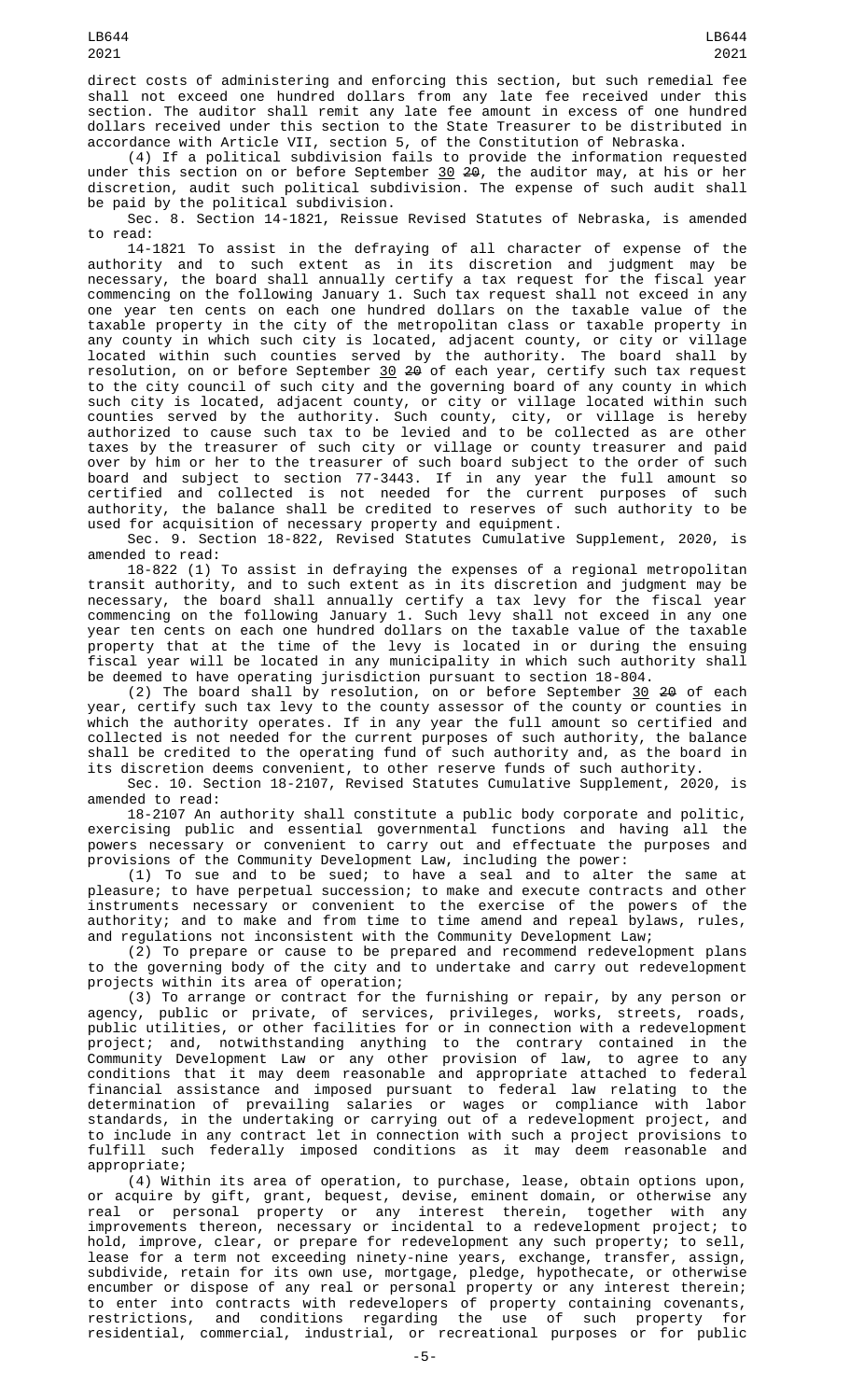direct costs of administering and enforcing this section, but such remedial fee shall not exceed one hundred dollars from any late fee received under this section. The auditor shall remit any late fee amount in excess of one hundred dollars received under this section to the State Treasurer to be distributed in accordance with Article VII, section 5, of the Constitution of Nebraska.

(4) If a political subdivision fails to provide the information requested under this section on or before September <u>30</u> <del>20</del>, the auditor may, at his or her discretion, audit such political subdivision. The expense of such audit shall be paid by the political subdivision.

Sec. 8. Section 14-1821, Reissue Revised Statutes of Nebraska, is amended to read:

14-1821 To assist in the defraying of all character of expense of the authority and to such extent as in its discretion and judgment may be necessary, the board shall annually certify a tax request for the fiscal year commencing on the following January 1. Such tax request shall not exceed in any one year ten cents on each one hundred dollars on the taxable value of the taxable property in the city of the metropolitan class or taxable property in any county in which such city is located, adjacent county, or city or village located within such counties served by the authority. The board shall by resolution, on or before September 30 20 of each year, certify such tax request to the city council of such city and the governing board of any county in which such city is located, adjacent county, or city or village located within such counties served by the authority. Such county, city, or village is hereby authorized to cause such tax to be levied and to be collected as are other taxes by the treasurer of such city or village or county treasurer and paid over by him or her to the treasurer of such board subject to the order of such board and subject to section 77-3443. If in any year the full amount so certified and collected is not needed for the current purposes of such authority, the balance shall be credited to reserves of such authority to be used for acquisition of necessary property and equipment.

Sec. 9. Section 18-822, Revised Statutes Cumulative Supplement, 2020, is amended to read:

18-822 (1) To assist in defraying the expenses of a regional metropolitan transit authority, and to such extent as in its discretion and judgment may be necessary, the board shall annually certify a tax levy for the fiscal year commencing on the following January 1. Such levy shall not exceed in any one year ten cents on each one hundred dollars on the taxable value of the taxable property that at the time of the levy is located in or during the ensuing fiscal year will be located in any municipality in which such authority shall be deemed to have operating jurisdiction pursuant to section 18-804.

(2) The board shall by resolution, on or before September  $30\,$   $20\,$  of each year, certify such tax levy to the county assessor of the county or counties in which the authority operates. If in any year the full amount so certified and collected is not needed for the current purposes of such authority, the balance shall be credited to the operating fund of such authority and, as the board in its discretion deems convenient, to other reserve funds of such authority.

Sec. 10. Section 18-2107, Revised Statutes Cumulative Supplement, 2020, is amended to read:

18-2107 An authority shall constitute a public body corporate and politic, exercising public and essential governmental functions and having all the powers necessary or convenient to carry out and effectuate the purposes and provisions of the Community Development Law, including the power:

(1) To sue and to be sued; to have a seal and to alter the same at pleasure; to have perpetual succession; to make and execute contracts and other instruments necessary or convenient to the exercise of the powers of the authority; and to make and from time to time amend and repeal bylaws, rules, and regulations not inconsistent with the Community Development Law;

(2) To prepare or cause to be prepared and recommend redevelopment plans to the governing body of the city and to undertake and carry out redevelopment projects within its area of operation;

(3) To arrange or contract for the furnishing or repair, by any person or agency, public or private, of services, privileges, works, streets, roads, public utilities, or other facilities for or in connection with a redevelopment project; and, notwithstanding anything to the contrary contained in the Community Development Law or any other provision of law, to agree to any conditions that it may deem reasonable and appropriate attached to federal financial assistance and imposed pursuant to federal law relating to the determination of prevailing salaries or wages or compliance with labor standards, in the undertaking or carrying out of a redevelopment project, and to include in any contract let in connection with such a project provisions to fulfill such federally imposed conditions as it may deem reasonable and appropriate;

(4) Within its area of operation, to purchase, lease, obtain options upon, or acquire by gift, grant, bequest, devise, eminent domain, or otherwise any real or personal property or any interest therein, together with any improvements thereon, necessary or incidental to a redevelopment project; to hold, improve, clear, or prepare for redevelopment any such property; to sell, lease for a term not exceeding ninety-nine years, exchange, transfer, assign, subdivide, retain for its own use, mortgage, pledge, hypothecate, or otherwise encumber or dispose of any real or personal property or any interest therein; to enter into contracts with redevelopers of property containing covenants, restrictions, and conditions regarding the use of such property for residential, commercial, industrial, or recreational purposes or for public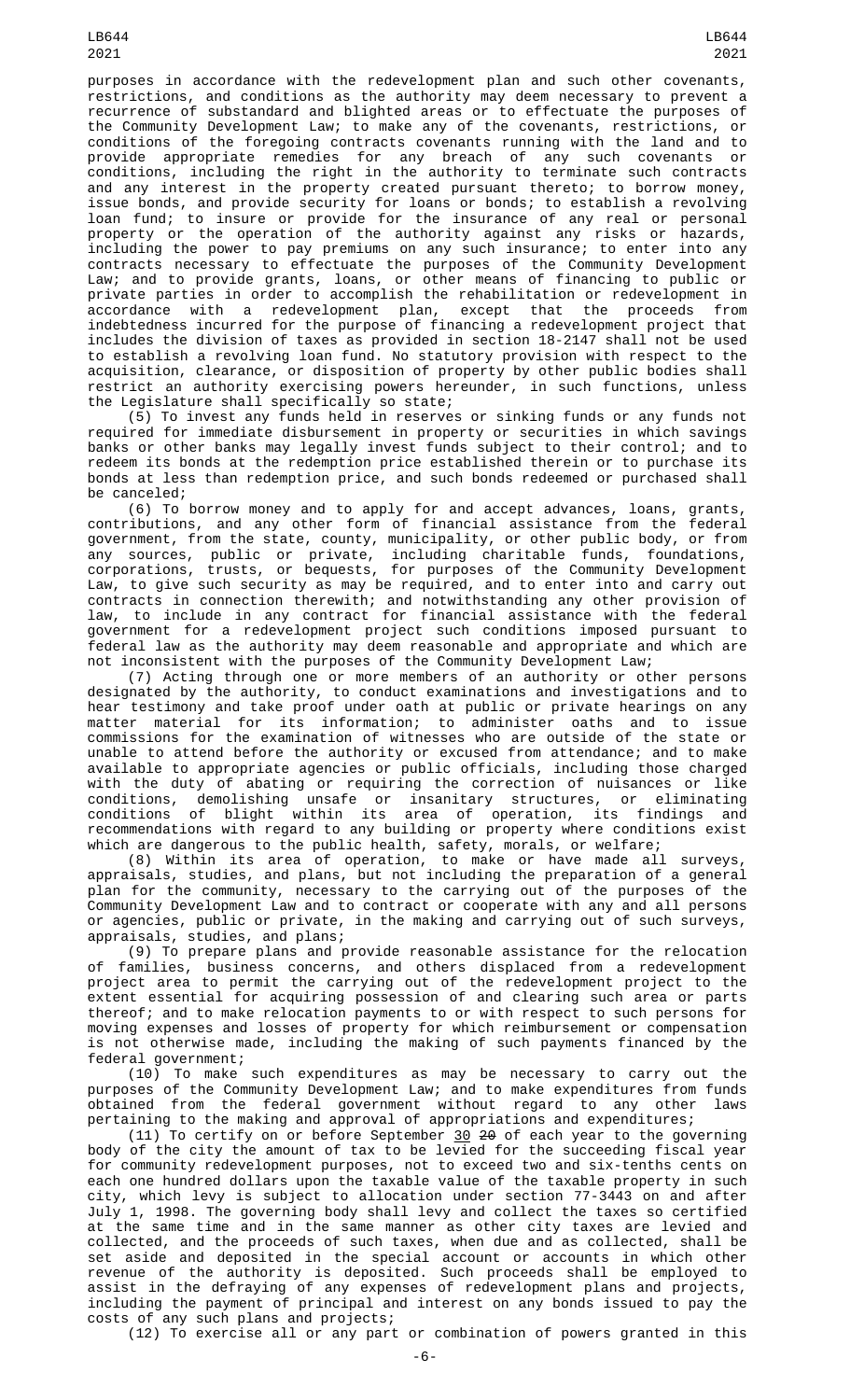purposes in accordance with the redevelopment plan and such other covenants, restrictions, and conditions as the authority may deem necessary to prevent a recurrence of substandard and blighted areas or to effectuate the purposes of the Community Development Law; to make any of the covenants, restrictions, or conditions of the foregoing contracts covenants running with the land and to provide appropriate remedies for any breach of any such covenants or conditions, including the right in the authority to terminate such contracts and any interest in the property created pursuant thereto; to borrow money, issue bonds, and provide security for loans or bonds; to establish a revolving loan fund; to insure or provide for the insurance of any real or personal property or the operation of the authority against any risks or hazards, including the power to pay premiums on any such insurance; to enter into any contracts necessary to effectuate the purposes of the Community Development Law; and to provide grants, loans, or other means of financing to public or private parties in order to accomplish the rehabilitation or redevelopment in accordance with a redevelopment plan, except that the proceeds from indebtedness incurred for the purpose of financing a redevelopment project that includes the division of taxes as provided in section 18-2147 shall not be used to establish a revolving loan fund. No statutory provision with respect to the acquisition, clearance, or disposition of property by other public bodies shall restrict an authority exercising powers hereunder, in such functions, unless

the Legislature shall specifically so state; (5) To invest any funds held in reserves or sinking funds or any funds not required for immediate disbursement in property or securities in which savings banks or other banks may legally invest funds subject to their control; and to redeem its bonds at the redemption price established therein or to purchase its bonds at less than redemption price, and such bonds redeemed or purchased shall be canceled;

(6) To borrow money and to apply for and accept advances, loans, grants, contributions, and any other form of financial assistance from the federal government, from the state, county, municipality, or other public body, or from any sources, public or private, including charitable funds, foundations, corporations, trusts, or bequests, for purposes of the Community Development Law, to give such security as may be required, and to enter into and carry out contracts in connection therewith; and notwithstanding any other provision of law, to include in any contract for financial assistance with the federal government for a redevelopment project such conditions imposed pursuant to federal law as the authority may deem reasonable and appropriate and which are not inconsistent with the purposes of the Community Development Law;

(7) Acting through one or more members of an authority or other persons designated by the authority, to conduct examinations and investigations and to hear testimony and take proof under oath at public or private hearings on any matter material for its information; to administer oaths and to issue commissions for the examination of witnesses who are outside of the state or unable to attend before the authority or excused from attendance; and to make available to appropriate agencies or public officials, including those charged with the duty of abating or requiring the correction of nuisances or like conditions, demolishing unsafe or insanitary structures, or eliminating conditions of blight within its area of operation, its findings and recommendations with regard to any building or property where conditions exist which are dangerous to the public health, safety, morals, or welfare;

(8) Within its area of operation, to make or have made all surveys, appraisals, studies, and plans, but not including the preparation of a general plan for the community, necessary to the carrying out of the purposes of the Community Development Law and to contract or cooperate with any and all persons or agencies, public or private, in the making and carrying out of such surveys, appraisals, studies, and plans;

(9) To prepare plans and provide reasonable assistance for the relocation of families, business concerns, and others displaced from a redevelopment project area to permit the carrying out of the redevelopment project to the extent essential for acquiring possession of and clearing such area or parts thereof; and to make relocation payments to or with respect to such persons for moving expenses and losses of property for which reimbursement or compensation is not otherwise made, including the making of such payments financed by the federal government;

(10) To make such expenditures as may be necessary to carry out the purposes of the Community Development Law; and to make expenditures from funds obtained from the federal government without regard to any other laws pertaining to the making and approval of appropriations and expenditures;

(11) To certify on or before September 30 20 of each year to the governing body of the city the amount of tax to be levied for the succeeding fiscal year for community redevelopment purposes, not to exceed two and six-tenths cents on each one hundred dollars upon the taxable value of the taxable property in such city, which levy is subject to allocation under section 77-3443 on and after July 1, 1998. The governing body shall levy and collect the taxes so certified at the same time and in the same manner as other city taxes are levied and collected, and the proceeds of such taxes, when due and as collected, shall be set aside and deposited in the special account or accounts in which other revenue of the authority is deposited. Such proceeds shall be employed to assist in the defraying of any expenses of redevelopment plans and projects, including the payment of principal and interest on any bonds issued to pay the costs of any such plans and projects;

(12) To exercise all or any part or combination of powers granted in this

LB644 2021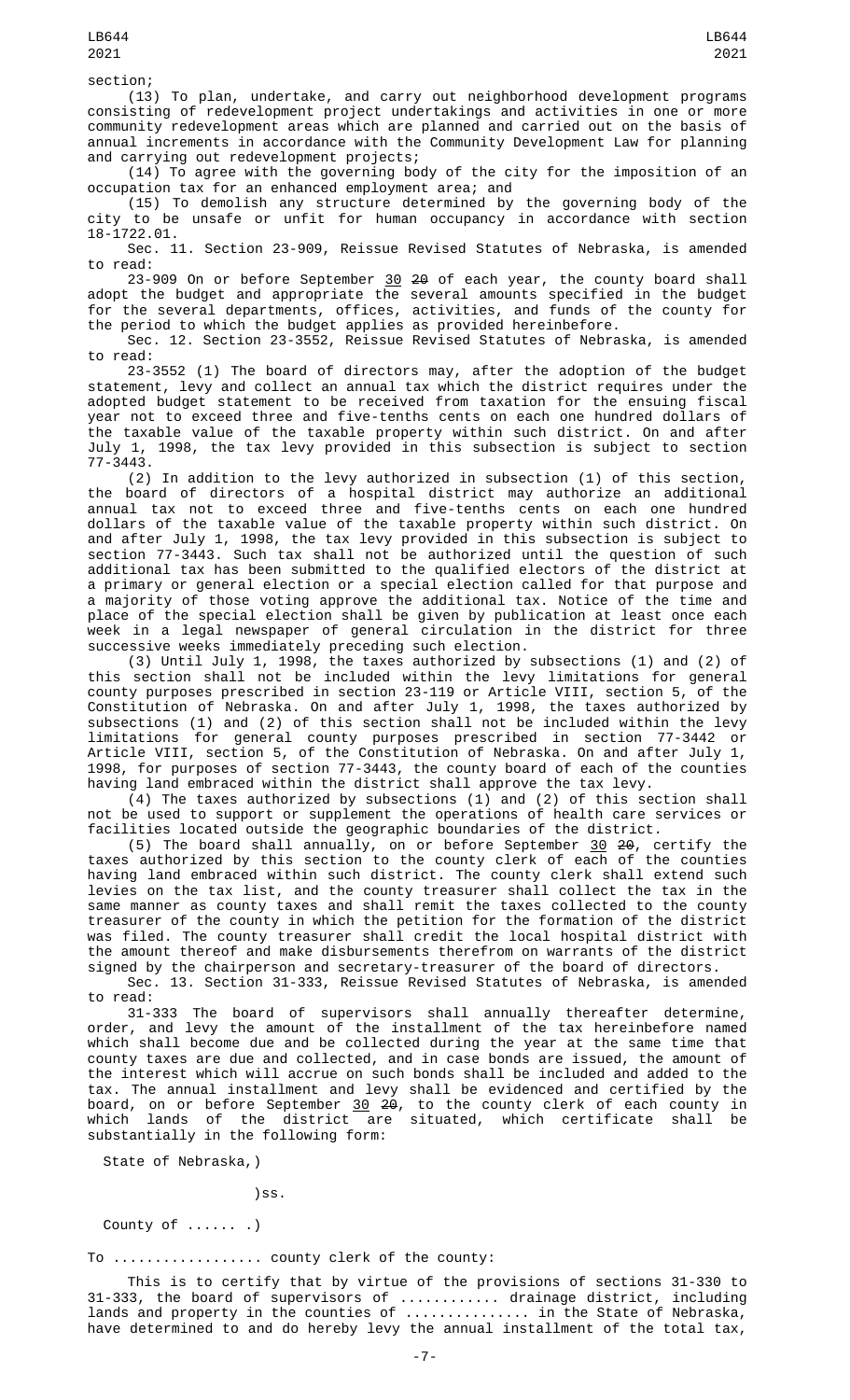section;

(13) To plan, undertake, and carry out neighborhood development programs consisting of redevelopment project undertakings and activities in one or more community redevelopment areas which are planned and carried out on the basis of annual increments in accordance with the Community Development Law for planning and carrying out redevelopment projects;

(14) To agree with the governing body of the city for the imposition of an occupation tax for an enhanced employment area; and

(15) To demolish any structure determined by the governing body of the city to be unsafe or unfit for human occupancy in accordance with section 18-1722.01.

Sec. 11. Section 23-909, Reissue Revised Statutes of Nebraska, is amended to read:

23-909 On or before September <u>30</u> <del>20</del> of each year, the county board shall adopt the budget and appropriate the several amounts specified in the budget for the several departments, offices, activities, and funds of the county for the period to which the budget applies as provided hereinbefore.

Sec. 12. Section 23-3552, Reissue Revised Statutes of Nebraska, is amended to read:

23-3552 (1) The board of directors may, after the adoption of the budget statement, levy and collect an annual tax which the district requires under the adopted budget statement to be received from taxation for the ensuing fiscal year not to exceed three and five-tenths cents on each one hundred dollars of the taxable value of the taxable property within such district. On and after July 1, 1998, the tax levy provided in this subsection is subject to section 77-3443.

(2) In addition to the levy authorized in subsection (1) of this section, the board of directors of a hospital district may authorize an additional annual tax not to exceed three and five-tenths cents on each one hundred dollars of the taxable value of the taxable property within such district. On and after July 1, 1998, the tax levy provided in this subsection is subject to section 77-3443. Such tax shall not be authorized until the question of such additional tax has been submitted to the qualified electors of the district at a primary or general election or a special election called for that purpose and a majority of those voting approve the additional tax. Notice of the time and place of the special election shall be given by publication at least once each week in a legal newspaper of general circulation in the district for three successive weeks immediately preceding such election.

(3) Until July 1, 1998, the taxes authorized by subsections (1) and (2) of this section shall not be included within the levy limitations for general county purposes prescribed in section 23-119 or Article VIII, section 5, of the Constitution of Nebraska. On and after July 1, 1998, the taxes authorized by subsections (1) and (2) of this section shall not be included within the levy limitations for general county purposes prescribed in section 77-3442 or Article VIII, section 5, of the Constitution of Nebraska. On and after July 1, 1998, for purposes of section 77-3443, the county board of each of the counties having land embraced within the district shall approve the tax levy.

(4) The taxes authorized by subsections (1) and (2) of this section shall not be used to support or supplement the operations of health care services or facilities located outside the geographic boundaries of the district.

(5) The board shall annually, on or before September  $\frac{30}{2}$   $\frac{20}{2}$ , certify the taxes authorized by this section to the county clerk of each of the counties having land embraced within such district. The county clerk shall extend such levies on the tax list, and the county treasurer shall collect the tax in the same manner as county taxes and shall remit the taxes collected to the county treasurer of the county in which the petition for the formation of the district was filed. The county treasurer shall credit the local hospital district with the amount thereof and make disbursements therefrom on warrants of the district signed by the chairperson and secretary-treasurer of the board of directors.

Sec. 13. Section 31-333, Reissue Revised Statutes of Nebraska, is amended to read:

31-333 The board of supervisors shall annually thereafter determine, order, and levy the amount of the installment of the tax hereinbefore named which shall become due and be collected during the year at the same time that county taxes are due and collected, and in case bonds are issued, the amount of the interest which will accrue on such bonds shall be included and added to the tax. The annual installment and levy shall be evidenced and certified by the board, on or before September <u>30</u> <del>20</del>, to the county clerk of each county in which lands of the district are situated, which certificate shall be substantially in the following form:

State of Nebraska,)

)ss.

County of ...... .)

To .................. county clerk of the county:

This is to certify that by virtue of the provisions of sections 31-330 to 31-333, the board of supervisors of ............ drainage district, including lands and property in the counties of ............... in the State of Nebraska, have determined to and do hereby levy the annual installment of the total tax,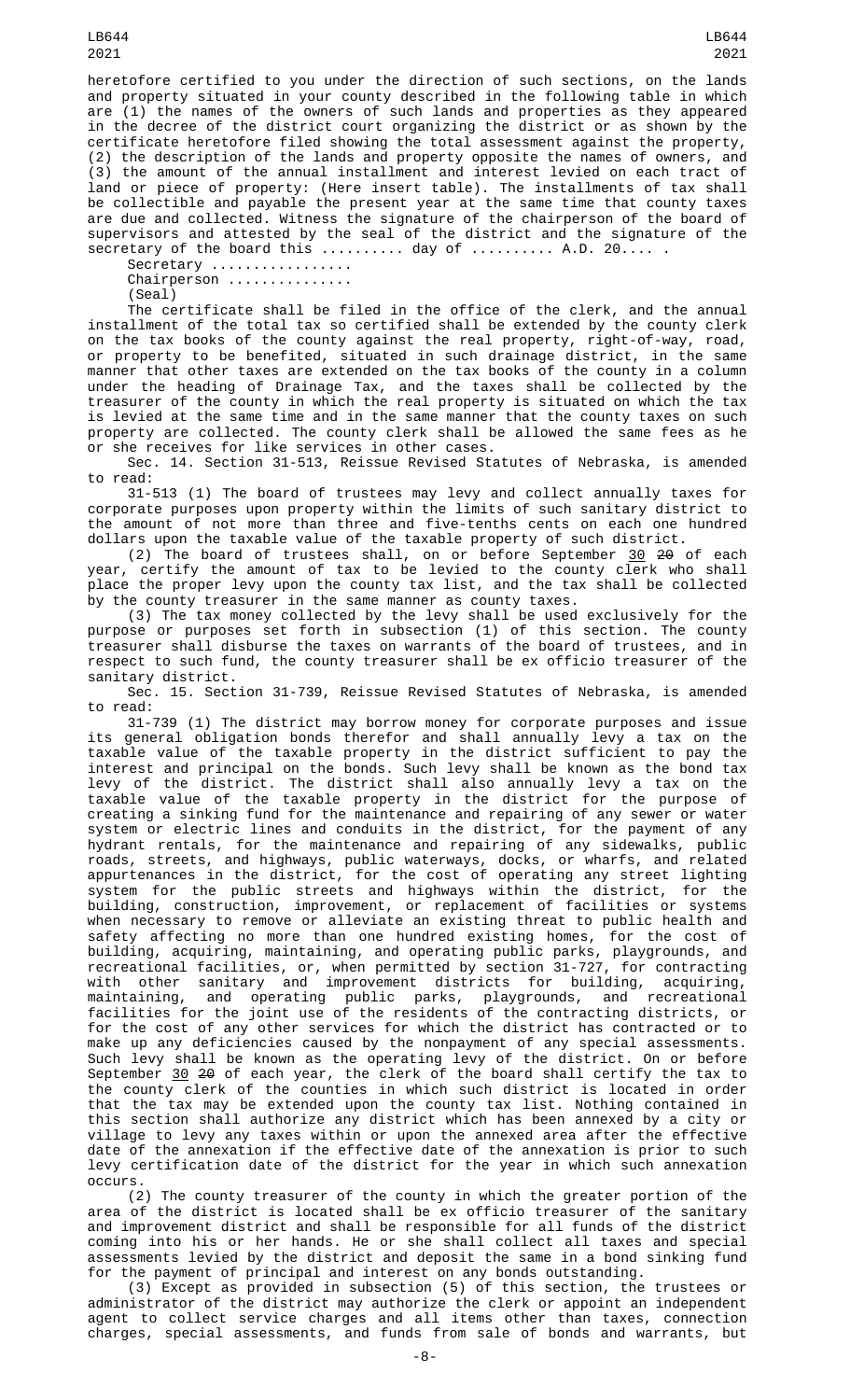LB644 2021

heretofore certified to you under the direction of such sections, on the lands and property situated in your county described in the following table in which are (1) the names of the owners of such lands and properties as they appeared in the decree of the district court organizing the district or as shown by the certificate heretofore filed showing the total assessment against the property, (2) the description of the lands and property opposite the names of owners, and (3) the amount of the annual installment and interest levied on each tract of land or piece of property: (Here insert table). The installments of tax shall be collectible and payable the present year at the same time that county taxes are due and collected. Witness the signature of the chairperson of the board of supervisors and attested by the seal of the district and the signature of the  $s$ ecretary of the board this  $\ldots \ldots \ldots$  day of  $\ldots \ldots \ldots$  . A.D. 20.... .

Secretary ................. Chairperson ..............

(Seal)

The certificate shall be filed in the office of the clerk, and the annual installment of the total tax so certified shall be extended by the county clerk on the tax books of the county against the real property, right-of-way, road, or property to be benefited, situated in such drainage district, in the same manner that other taxes are extended on the tax books of the county in a column under the heading of Drainage Tax, and the taxes shall be collected by the treasurer of the county in which the real property is situated on which the tax is levied at the same time and in the same manner that the county taxes on such property are collected. The county clerk shall be allowed the same fees as he or she receives for like services in other cases.

Sec. 14. Section 31-513, Reissue Revised Statutes of Nebraska, is amended to read:

31-513 (1) The board of trustees may levy and collect annually taxes for corporate purposes upon property within the limits of such sanitary district to the amount of not more than three and five-tenths cents on each one hundred dollars upon the taxable value of the taxable property of such district.

(2) The board of trustees shall, on or before September  $30\,$  <del>20</del> of each year, certify the amount of tax to be levied to the county clerk who shall place the proper levy upon the county tax list, and the tax shall be collected by the county treasurer in the same manner as county taxes.

(3) The tax money collected by the levy shall be used exclusively for the purpose or purposes set forth in subsection (1) of this section. The county treasurer shall disburse the taxes on warrants of the board of trustees, and in respect to such fund, the county treasurer shall be ex officio treasurer of the sanitary district.

Sec. 15. Section 31-739, Reissue Revised Statutes of Nebraska, is amended

to read:<br>31-739 (1) The district may borrow money for corporate purposes and issue 31-739 (1) The district may borrow money for corporate purposes and issue its general obligation bonds therefor and shall annually levy a tax on the taxable value of the taxable property in the district sufficient to pay the interest and principal on the bonds. Such levy shall be known as the bond tax levy of the district. The district shall also annually levy a tax on the taxable value of the taxable property in the district for the purpose of creating a sinking fund for the maintenance and repairing of any sewer or water system or electric lines and conduits in the district, for the payment of any hydrant rentals, for the maintenance and repairing of any sidewalks, public roads, streets, and highways, public waterways, docks, or wharfs, and related appurtenances in the district, for the cost of operating any street lighting system for the public streets and highways within the district, for the building, construction, improvement, or replacement of facilities or systems when necessary to remove or alleviate an existing threat to public health and safety affecting no more than one hundred existing homes, for the cost of building, acquiring, maintaining, and operating public parks, playgrounds, and recreational facilities, or, when permitted by section 31-727, for contracting with other sanitary and improvement districts for building, acquiring, maintaining, and operating public parks, playgrounds, and recreational facilities for the joint use of the residents of the contracting districts, or for the cost of any other services for which the district has contracted or to make up any deficiencies caused by the nonpayment of any special assessments. Such levy shall be known as the operating levy of the district. On or before September <u>30</u> <del>20</del> of each year, the clerk of the board shall certify the tax to the county clerk of the counties in which such district is located in order that the tax may be extended upon the county tax list. Nothing contained in this section shall authorize any district which has been annexed by a city or village to levy any taxes within or upon the annexed area after the effective date of the annexation if the effective date of the annexation is prior to such levy certification date of the district for the year in which such annexation occurs.

(2) The county treasurer of the county in which the greater portion of the area of the district is located shall be ex officio treasurer of the sanitary and improvement district and shall be responsible for all funds of the district coming into his or her hands. He or she shall collect all taxes and special assessments levied by the district and deposit the same in a bond sinking fund for the payment of principal and interest on any bonds outstanding.

(3) Except as provided in subsection (5) of this section, the trustees or administrator of the district may authorize the clerk or appoint an independent agent to collect service charges and all items other than taxes, connection charges, special assessments, and funds from sale of bonds and warrants, but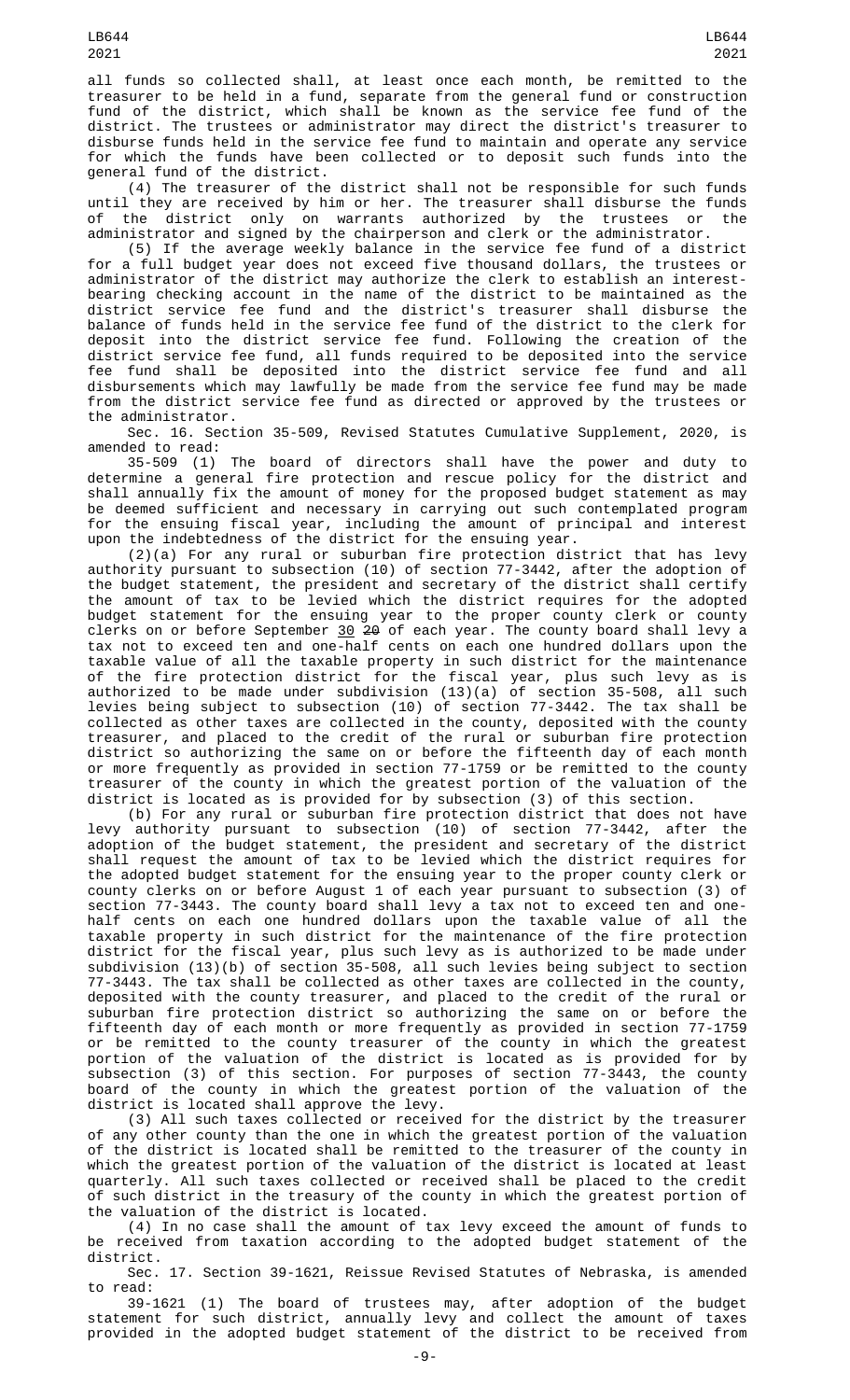LB644 2021

all funds so collected shall, at least once each month, be remitted to the treasurer to be held in a fund, separate from the general fund or construction fund of the district, which shall be known as the service fee fund of the district. The trustees or administrator may direct the district's treasurer to disburse funds held in the service fee fund to maintain and operate any service for which the funds have been collected or to deposit such funds into the general fund of the district.

(4) The treasurer of the district shall not be responsible for such funds until they are received by him or her. The treasurer shall disburse the funds of the district only on warrants authorized by the trustees or the administrator and signed by the chairperson and clerk or the administrator.

(5) If the average weekly balance in the service fee fund of a district for a full budget year does not exceed five thousand dollars, the trustees or administrator of the district may authorize the clerk to establish an interestbearing checking account in the name of the district to be maintained as the district service fee fund and the district's treasurer shall disburse the balance of funds held in the service fee fund of the district to the clerk for deposit into the district service fee fund. Following the creation of the district service fee fund, all funds required to be deposited into the service fee fund shall be deposited into the district service fee fund and all disbursements which may lawfully be made from the service fee fund may be made from the district service fee fund as directed or approved by the trustees or the administrator.

Sec. 16. Section 35-509, Revised Statutes Cumulative Supplement, 2020, is amended to read:

35-509 (1) The board of directors shall have the power and duty to determine a general fire protection and rescue policy for the district and shall annually fix the amount of money for the proposed budget statement as may be deemed sufficient and necessary in carrying out such contemplated program for the ensuing fiscal year, including the amount of principal and interest upon the indebtedness of the district for the ensuing year.

(2)(a) For any rural or suburban fire protection district that has levy authority pursuant to subsection (10) of section 77-3442, after the adoption of the budget statement, the president and secretary of the district shall certify the amount of tax to be levied which the district requires for the adopted budget statement for the ensuing year to the proper county clerk or county clerks on or before September <u>30</u> <del>20</del> of each year. The county board shall levy a tax not to exceed ten and one-half cents on each one hundred dollars upon the taxable value of all the taxable property in such district for the maintenance of the fire protection district for the fiscal year, plus such levy as is authorized to be made under subdivision (13)(a) of section 35-508, all such levies being subject to subsection (10) of section 77-3442. The tax shall be collected as other taxes are collected in the county, deposited with the county treasurer, and placed to the credit of the rural or suburban fire protection district so authorizing the same on or before the fifteenth day of each month or more frequently as provided in section 77-1759 or be remitted to the county treasurer of the county in which the greatest portion of the valuation of the district is located as is provided for by subsection (3) of this section.

(b) For any rural or suburban fire protection district that does not have levy authority pursuant to subsection (10) of section 77-3442, after the adoption of the budget statement, the president and secretary of the district shall request the amount of tax to be levied which the district requires for the adopted budget statement for the ensuing year to the proper county clerk or county clerks on or before August 1 of each year pursuant to subsection (3) of section 77-3443. The county board shall levy a tax not to exceed ten and onehalf cents on each one hundred dollars upon the taxable value of all the taxable property in such district for the maintenance of the fire protection district for the fiscal year, plus such levy as is authorized to be made under subdivision (13)(b) of section 35-508, all such levies being subject to section 77-3443. The tax shall be collected as other taxes are collected in the county, deposited with the county treasurer, and placed to the credit of the rural or suburban fire protection district so authorizing the same on or before the fifteenth day of each month or more frequently as provided in section 77-1759 or be remitted to the county treasurer of the county in which the greatest portion of the valuation of the district is located as is provided for by subsection (3) of this section. For purposes of section 77-3443, the county board of the county in which the greatest portion of the valuation of the district is located shall approve the levy.

(3) All such taxes collected or received for the district by the treasurer of any other county than the one in which the greatest portion of the valuation of the district is located shall be remitted to the treasurer of the county in which the greatest portion of the valuation of the district is located at least quarterly. All such taxes collected or received shall be placed to the credit of such district in the treasury of the county in which the greatest portion of the valuation of the district is located.

(4) In no case shall the amount of tax levy exceed the amount of funds to be received from taxation according to the adopted budget statement of the district.

Sec. 17. Section 39-1621, Reissue Revised Statutes of Nebraska, is amended to read:

39-1621 (1) The board of trustees may, after adoption of the budget statement for such district, annually levy and collect the amount of taxes provided in the adopted budget statement of the district to be received from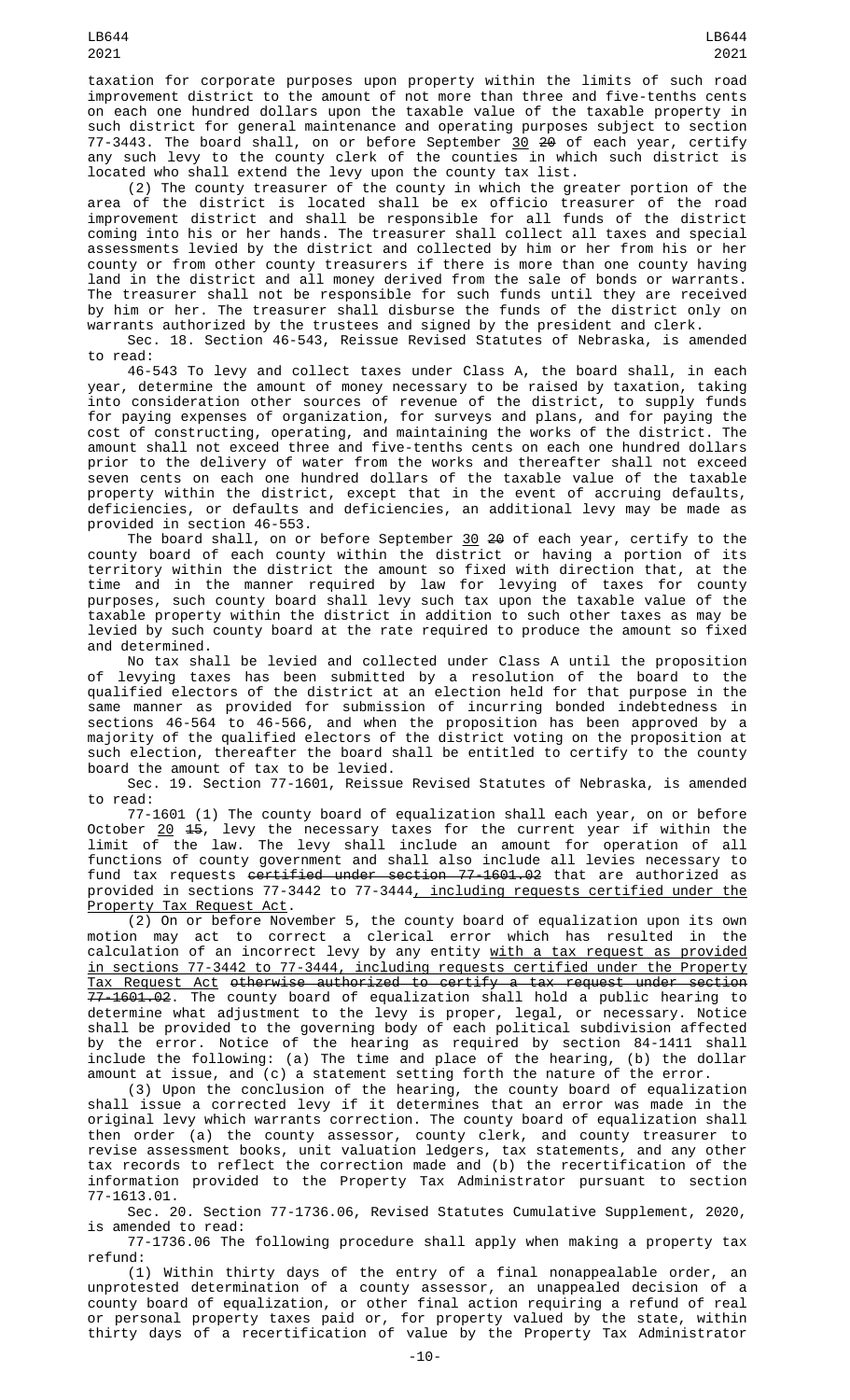taxation for corporate purposes upon property within the limits of such road improvement district to the amount of not more than three and five-tenths cents on each one hundred dollars upon the taxable value of the taxable property in such district for general maintenance and operating purposes subject to section 77-3443. The board shall, on or before September <u>30</u> <del>20</del> of each year, certify any such levy to the county clerk of the counties in which such district is located who shall extend the levy upon the county tax list.

(2) The county treasurer of the county in which the greater portion of the area of the district is located shall be ex officio treasurer of the road improvement district and shall be responsible for all funds of the district coming into his or her hands. The treasurer shall collect all taxes and special assessments levied by the district and collected by him or her from his or her county or from other county treasurers if there is more than one county having land in the district and all money derived from the sale of bonds or warrants. The treasurer shall not be responsible for such funds until they are received by him or her. The treasurer shall disburse the funds of the district only on warrants authorized by the trustees and signed by the president and clerk.

Sec. 18. Section 46-543, Reissue Revised Statutes of Nebraska, is amended to read:

46-543 To levy and collect taxes under Class A, the board shall, in each year, determine the amount of money necessary to be raised by taxation, taking into consideration other sources of revenue of the district, to supply funds for paying expenses of organization, for surveys and plans, and for paying the cost of constructing, operating, and maintaining the works of the district. The amount shall not exceed three and five-tenths cents on each one hundred dollars prior to the delivery of water from the works and thereafter shall not exceed seven cents on each one hundred dollars of the taxable value of the taxable property within the district, except that in the event of accruing defaults, deficiencies, or defaults and deficiencies, an additional levy may be made as provided in section 46-553.

The board shall, on or before September  $30$  20 of each year, certify to the county board of each county within the district or having a portion of its territory within the district the amount so fixed with direction that, at the time and in the manner required by law for levying of taxes for county purposes, such county board shall levy such tax upon the taxable value of the taxable property within the district in addition to such other taxes as may be levied by such county board at the rate required to produce the amount so fixed and determined.

No tax shall be levied and collected under Class A until the proposition of levying taxes has been submitted by a resolution of the board to the qualified electors of the district at an election held for that purpose in the same manner as provided for submission of incurring bonded indebtedness in sections 46-564 to 46-566, and when the proposition has been approved by a majority of the qualified electors of the district voting on the proposition at such election, thereafter the board shall be entitled to certify to the county board the amount of tax to be levied.

Sec. 19. Section 77-1601, Reissue Revised Statutes of Nebraska, is amended to read:

77-1601 (1) The county board of equalization shall each year, on or before October <u>20</u> <del>15</del>, levy the necessary taxes for the current year if within the limit of the law. The levy shall include an amount for operation of all functions of county government and shall also include all levies necessary to fund tax requests <del>certified under section 77-1601.02</del> that are authorized as provided in sections 77-3442 to 77-3444<u>, including requests certified under the</u> Property Tax Request Act.

(2) On or before November 5, the county board of equalization upon its own motion may act to correct a clerical error which has resulted in the calculation of an incorrect levy by any entity with a tax request as provided in sections 77-3442 to 77-3444, including requests certified under the Property Tax Request Act otherwise authorized to certify a tax request under section 77-1601.02. The county board of equalization shall hold a public hearing to determine what adjustment to the levy is proper, legal, or necessary. Notice shall be provided to the governing body of each political subdivision affected by the error. Notice of the hearing as required by section 84-1411 shall include the following: (a) The time and place of the hearing, (b) the dollar amount at issue, and (c) a statement setting forth the nature of the error.

(3) Upon the conclusion of the hearing, the county board of equalization shall issue a corrected levy if it determines that an error was made in the original levy which warrants correction. The county board of equalization shall then order (a) the county assessor, county clerk, and county treasurer to revise assessment books, unit valuation ledgers, tax statements, and any other tax records to reflect the correction made and (b) the recertification of the information provided to the Property Tax Administrator pursuant to section 77-1613.01.

Sec. 20. Section 77-1736.06, Revised Statutes Cumulative Supplement, 2020, is amended to read:

77-1736.06 The following procedure shall apply when making a property tax refund:

(1) Within thirty days of the entry of a final nonappealable order, an unprotested determination of a county assessor, an unappealed decision of a county board of equalization, or other final action requiring a refund of real or personal property taxes paid or, for property valued by the state, within thirty days of a recertification of value by the Property Tax Administrator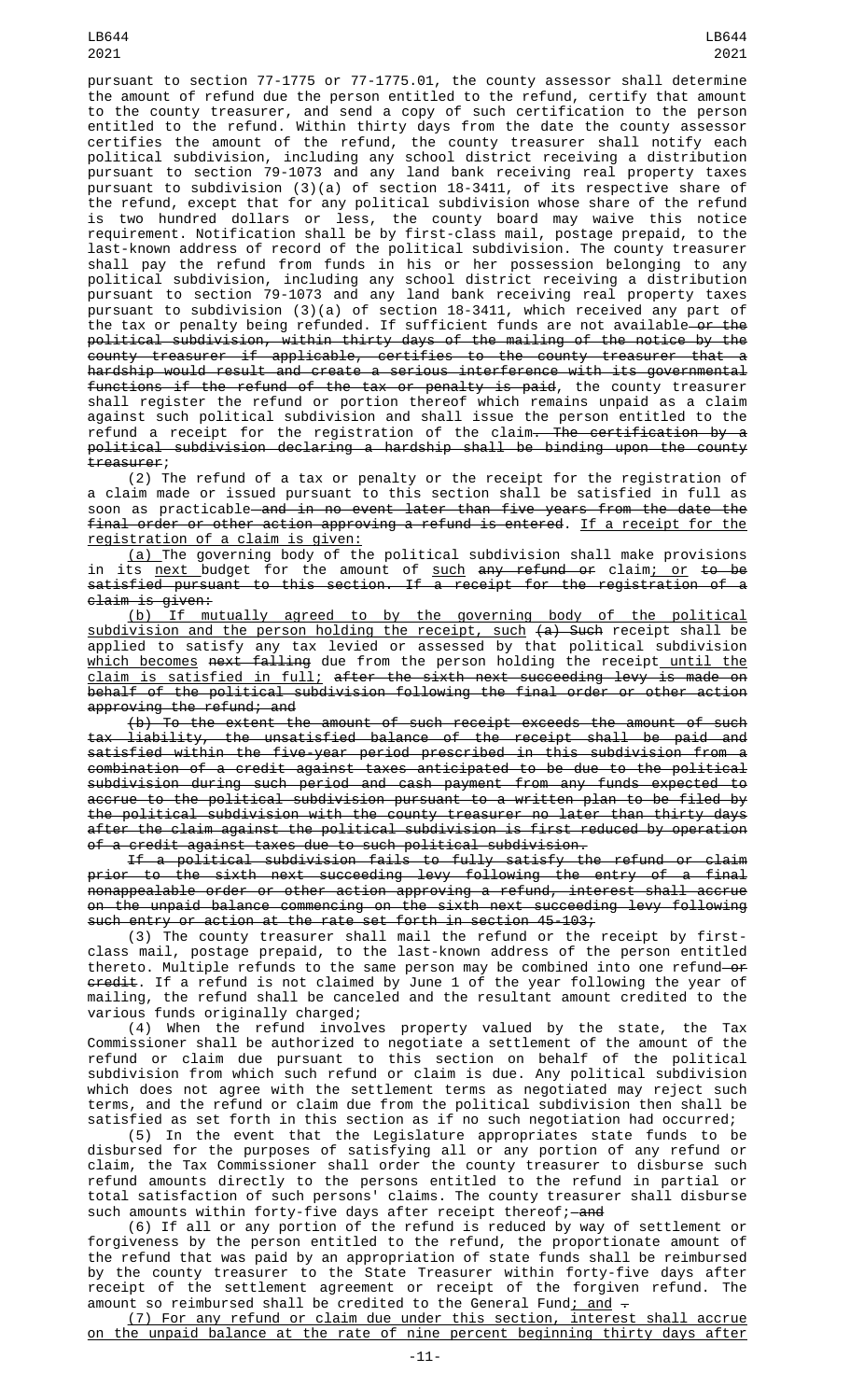LB644 2021

pursuant to section 77-1775 or 77-1775.01, the county assessor shall determine the amount of refund due the person entitled to the refund, certify that amount to the county treasurer, and send a copy of such certification to the person entitled to the refund. Within thirty days from the date the county assessor certifies the amount of the refund, the county treasurer shall notify each political subdivision, including any school district receiving a distribution pursuant to section 79-1073 and any land bank receiving real property taxes pursuant to subdivision (3)(a) of section 18-3411, of its respective share of the refund, except that for any political subdivision whose share of the refund is two hundred dollars or less, the county board may waive this notice requirement. Notification shall be by first-class mail, postage prepaid, to the last-known address of record of the political subdivision. The county treasurer shall pay the refund from funds in his or her possession belonging to any political subdivision, including any school district receiving a distribution pursuant to section 79-1073 and any land bank receiving real property taxes pursuant to subdivision (3)(a) of section 18-3411, which received any part of the tax or penalty being refunded. If sufficient funds are not available—o<del>r the</del> political subdivision, within thirty days of the mailing of the notice by the county treasurer if applicable, certifies to the county treasurer that a hardship would result and create a serious interference with its governmental functions if the refund of the tax or penalty is paid, the county treasurer shall register the refund or portion thereof which remains unpaid as a claim against such political subdivision and shall issue the person entitled to the refund a receipt for the registration of the claim<del>. The certification by a</del> political subdivision declaring a hardship shall be binding upon the county treasurer;

(2) The refund of a tax or penalty or the receipt for the registration of a claim made or issued pursuant to this section shall be satisfied in full as soon as practicable and in no event later than five years from the date the final order or other action approving a refund is entered. If a receipt for the registration of a claim is given:

(a) The governing body of the political subdivision shall make provisions in its <u>next </u>budget for the amount of <u>such</u> <del>any refund or</del> claim<u>; or</u> <del>to be</del> satisfied pursuant to this section. If a receipt for the registration of a claim is given:

(b) If mutually agreed to by the governing body of the political subdivision and the person holding the receipt, such (a) Such receipt shall be applied to satisfy any tax levied or assessed by that political subdivision <u>which becomes</u> <del>next falling</del> due from the person holding the receipt<u> until the</u> <u>claim is satisfied in full;</u> after the sixth next succeeding levy is made on behalf of the political subdivision following the final order or other action approving the refund; and

(b) To the extent the amount of such receipt exceeds the amount of such tax liability, the unsatisfied balance of the receipt shall be paid and satisfied within the five-year period prescribed in this subdivision from a combination of a credit against taxes anticipated to be due to the political subdivision during such period and cash payment from any funds expected to accrue to the political subdivision pursuant to a written plan to be filed by the political subdivision with the county treasurer no later than thirty days after the claim against the political subdivision is first reduced by operation of a credit against taxes due to such political subdivision.

If a political subdivision fails to fully satisfy the refund or claim prior to the sixth next succeeding levy following the entry of a final nonappealable order or other action approving a refund, interest shall accrue on the unpaid balance commencing on the sixth next succeeding levy following such entry or action at the rate set forth in section 45-103;

(3) The county treasurer shall mail the refund or the receipt by firstclass mail, postage prepaid, to the last-known address of the person entitled thereto. Multiple refunds to the same person may be combined into one refund—o<del>r</del> <del>credit</del>. If a refund is not claimed by June 1 of the year following the year of mailing, the refund shall be canceled and the resultant amount credited to the various funds originally charged;

(4) When the refund involves property valued by the state, the Tax Commissioner shall be authorized to negotiate a settlement of the amount of the refund or claim due pursuant to this section on behalf of the political subdivision from which such refund or claim is due. Any political subdivision which does not agree with the settlement terms as negotiated may reject such terms, and the refund or claim due from the political subdivision then shall be satisfied as set forth in this section as if no such negotiation had occurred;

(5) In the event that the Legislature appropriates state funds to be disbursed for the purposes of satisfying all or any portion of any refund or claim, the Tax Commissioner shall order the county treasurer to disburse such refund amounts directly to the persons entitled to the refund in partial or total satisfaction of such persons' claims. The county treasurer shall disburse such amounts within forty-five days after receipt thereof;—<del>and</del>

(6) If all or any portion of the refund is reduced by way of settlement or forgiveness by the person entitled to the refund, the proportionate amount of the refund that was paid by an appropriation of state funds shall be reimbursed by the county treasurer to the State Treasurer within forty-five days after receipt of the settlement agreement or receipt of the forgiven refund. The amount so reimbursed shall be credited to the General Fund<u>; and</u>  $\overline{\cdot}$ 

(7) For any refund or claim due under this section, interest shall accrue on the unpaid balance at the rate of nine percent beginning thirty days after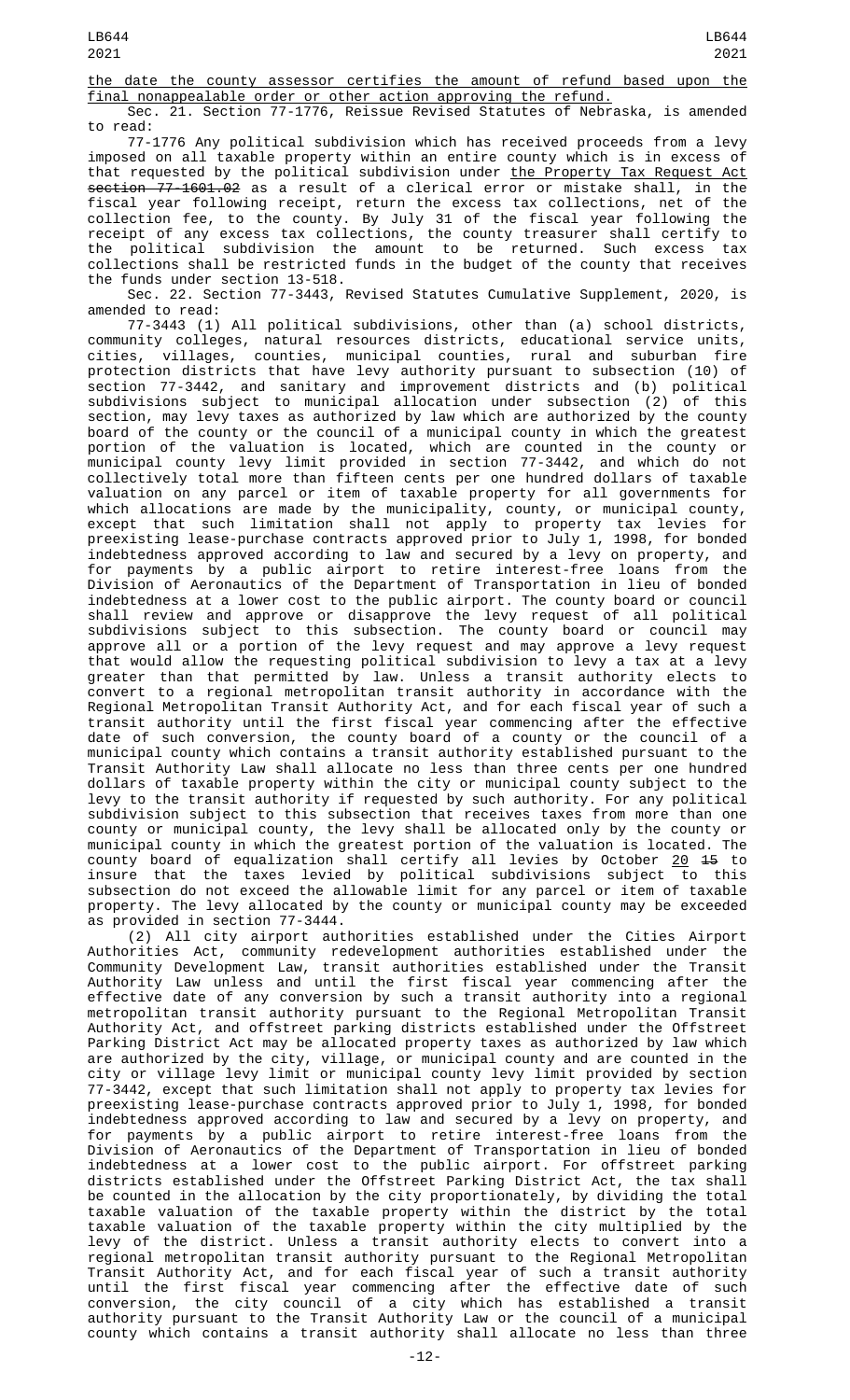the date the county assessor certifies the amount of refund based upon the final nonappealable order or other action approving the refund.

Sec. 21. Section 77-1776, Reissue Revised Statutes of Nebraska, is amended to read:

77-1776 Any political subdivision which has received proceeds from a levy imposed on all taxable property within an entire county which is in excess of that requested by the political subdivision under the Property Tax Request Act section 77-1601.02 as a result of a clerical error or mistake shall, in the fiscal year following receipt, return the excess tax collections, net of the collection fee, to the county. By July 31 of the fiscal year following the receipt of any excess tax collections, the county treasurer shall certify to the political subdivision the amount to be returned. Such excess tax collections shall be restricted funds in the budget of the county that receives the funds under section 13-518.

Sec. 22. Section 77-3443, Revised Statutes Cumulative Supplement, 2020, is amended to read:

77-3443 (1) All political subdivisions, other than (a) school districts, community colleges, natural resources districts, educational service units, cities, villages, counties, municipal counties, rural and suburban fire protection districts that have levy authority pursuant to subsection (10) of section 77-3442, and sanitary and improvement districts and (b) political subdivisions subject to municipal allocation under subsection (2) of this section, may levy taxes as authorized by law which are authorized by the county board of the county or the council of a municipal county in which the greatest portion of the valuation is located, which are counted in the county or municipal county levy limit provided in section 77-3442, and which do not collectively total more than fifteen cents per one hundred dollars of taxable valuation on any parcel or item of taxable property for all governments for which allocations are made by the municipality, county, or municipal county, except that such limitation shall not apply to property tax levies for preexisting lease-purchase contracts approved prior to July 1, 1998, for bonded indebtedness approved according to law and secured by a levy on property, and for payments by a public airport to retire interest-free loans from the Division of Aeronautics of the Department of Transportation in lieu of bonded indebtedness at a lower cost to the public airport. The county board or council shall review and approve or disapprove the levy request of all political subdivisions subject to this subsection. The county board or council may approve all or a portion of the levy request and may approve a levy request that would allow the requesting political subdivision to levy a tax at a levy greater than that permitted by law. Unless a transit authority elects to convert to a regional metropolitan transit authority in accordance with the Regional Metropolitan Transit Authority Act, and for each fiscal year of such a transit authority until the first fiscal year commencing after the effective date of such conversion, the county board of a county or the council of a municipal county which contains a transit authority established pursuant to the Transit Authority Law shall allocate no less than three cents per one hundred dollars of taxable property within the city or municipal county subject to the levy to the transit authority if requested by such authority. For any political subdivision subject to this subsection that receives taxes from more than one county or municipal county, the levy shall be allocated only by the county or municipal county in which the greatest portion of the valuation is located. The county board of equalization shall certify all levies by October <u>20</u> <del>15</del> to insure that the taxes levied by political subdivisions subject to this subsection do not exceed the allowable limit for any parcel or item of taxable property. The levy allocated by the county or municipal county may be exceeded as provided in section 77-3444.

(2) All city airport authorities established under the Cities Airport Authorities Act, community redevelopment authorities established under the Community Development Law, transit authorities established under the Transit Authority Law unless and until the first fiscal year commencing after the effective date of any conversion by such a transit authority into a regional metropolitan transit authority pursuant to the Regional Metropolitan Transit Authority Act, and offstreet parking districts established under the Offstreet Parking District Act may be allocated property taxes as authorized by law which are authorized by the city, village, or municipal county and are counted in the city or village levy limit or municipal county levy limit provided by section 77-3442, except that such limitation shall not apply to property tax levies for preexisting lease-purchase contracts approved prior to July 1, 1998, for bonded indebtedness approved according to law and secured by a levy on property, and for payments by a public airport to retire interest-free loans from the Division of Aeronautics of the Department of Transportation in lieu of bonded indebtedness at a lower cost to the public airport. For offstreet parking districts established under the Offstreet Parking District Act, the tax shall be counted in the allocation by the city proportionately, by dividing the total taxable valuation of the taxable property within the district by the total taxable valuation of the taxable property within the city multiplied by the levy of the district. Unless a transit authority elects to convert into a regional metropolitan transit authority pursuant to the Regional Metropolitan Transit Authority Act, and for each fiscal year of such a transit authority until the first fiscal year commencing after the effective date of such conversion, the city council of a city which has established a transit authority pursuant to the Transit Authority Law or the council of a municipal county which contains a transit authority shall allocate no less than three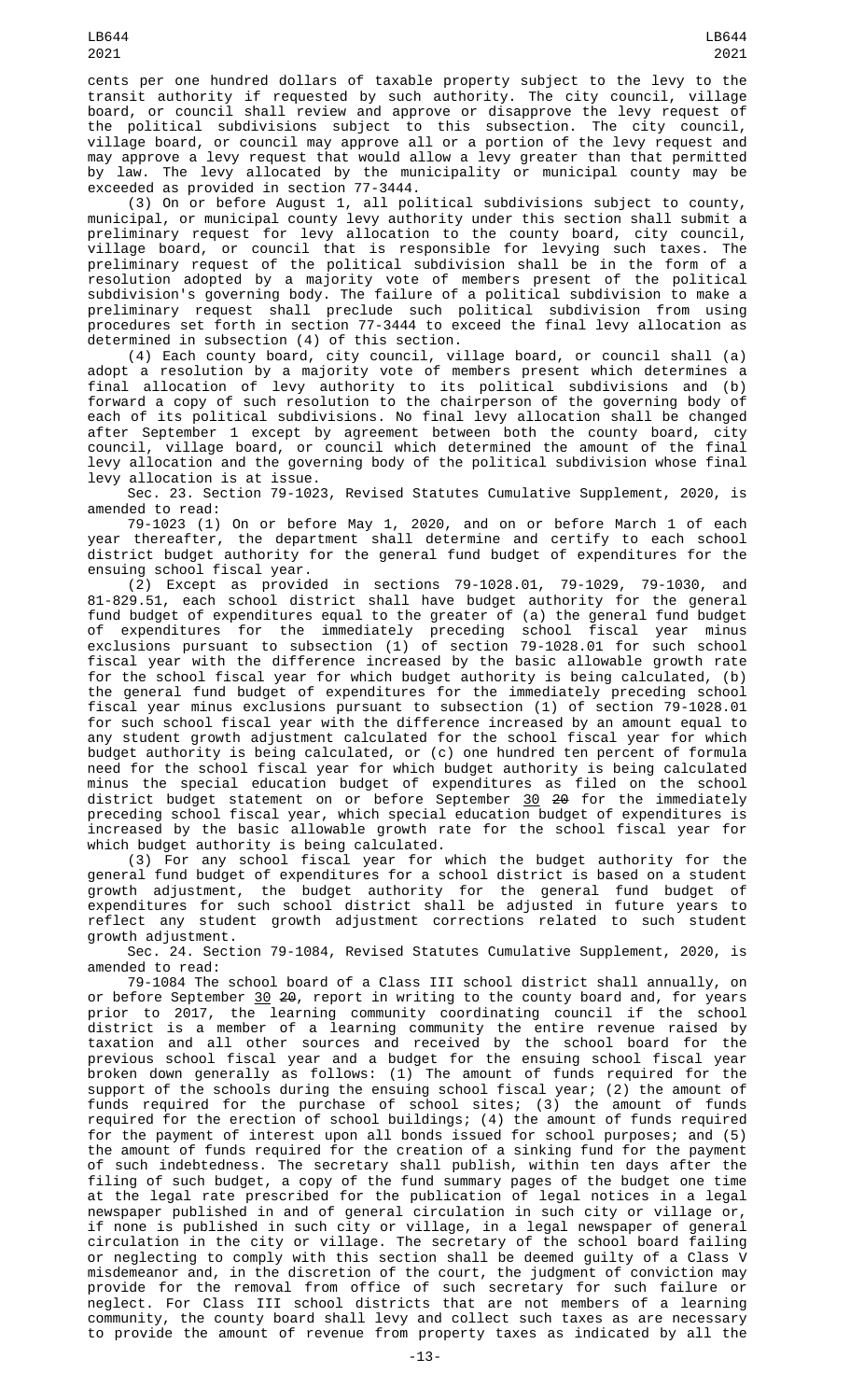cents per one hundred dollars of taxable property subject to the levy to the transit authority if requested by such authority. The city council, village board, or council shall review and approve or disapprove the levy request of the political subdivisions subject to this subsection. The city council, village board, or council may approve all or a portion of the levy request and may approve a levy request that would allow a levy greater than that permitted by law. The levy allocated by the municipality or municipal county may be exceeded as provided in section 77-3444.

(3) On or before August 1, all political subdivisions subject to county, municipal, or municipal county levy authority under this section shall submit a preliminary request for levy allocation to the county board, city council, village board, or council that is responsible for levying such taxes. The preliminary request of the political subdivision shall be in the form of a resolution adopted by a majority vote of members present of the political subdivision's governing body. The failure of a political subdivision to make a preliminary request shall preclude such political subdivision from using procedures set forth in section 77-3444 to exceed the final levy allocation as determined in subsection (4) of this section.

(4) Each county board, city council, village board, or council shall (a) adopt a resolution by a majority vote of members present which determines a final allocation of levy authority to its political subdivisions and (b) forward a copy of such resolution to the chairperson of the governing body of each of its political subdivisions. No final levy allocation shall be changed after September 1 except by agreement between both the county board, city council, village board, or council which determined the amount of the final levy allocation and the governing body of the political subdivision whose final levy allocation is at issue.

Sec. 23. Section 79-1023, Revised Statutes Cumulative Supplement, 2020, is amended to read:

79-1023 (1) On or before May 1, 2020, and on or before March 1 of each year thereafter, the department shall determine and certify to each school district budget authority for the general fund budget of expenditures for the ensuing school fiscal year.

 $(2)$  Except as provided in sections 79-1028.01, 79-1029, 79-1030, and 81-829.51, each school district shall have budget authority for the general fund budget of expenditures equal to the greater of (a) the general fund budget of expenditures for the immediately preceding school fiscal year minus exclusions pursuant to subsection (1) of section 79-1028.01 for such school fiscal year with the difference increased by the basic allowable growth rate for the school fiscal year for which budget authority is being calculated, (b) the general fund budget of expenditures for the immediately preceding school fiscal year minus exclusions pursuant to subsection (1) of section 79-1028.01 for such school fiscal year with the difference increased by an amount equal to any student growth adjustment calculated for the school fiscal year for which budget authority is being calculated, or (c) one hundred ten percent of formula need for the school fiscal year for which budget authority is being calculated minus the special education budget of expenditures as filed on the school district budget statement on or before September 30 20 for the immediately preceding school fiscal year, which special education budget of expenditures is increased by the basic allowable growth rate for the school fiscal year for which budget authority is being calculated.

(3) For any school fiscal year for which the budget authority for the general fund budget of expenditures for a school district is based on a student growth adjustment, the budget authority for the general fund budget of expenditures for such school district shall be adjusted in future years to reflect any student growth adjustment corrections related to such student growth adjustment.

Sec. 24. Section 79-1084, Revised Statutes Cumulative Supplement, 2020, is amended to read:

79-1084 The school board of a Class III school district shall annually, on or before September  $30$  20, report in writing to the county board and, for years prior to 2017, the learning community coordinating council if the school district is a member of a learning community the entire revenue raised by taxation and all other sources and received by the school board for the previous school fiscal year and a budget for the ensuing school fiscal year broken down generally as follows: (1) The amount of funds required for the support of the schools during the ensuing school fiscal year; (2) the amount of funds required for the purchase of school sites; (3) the amount of funds required for the erection of school buildings; (4) the amount of funds required for the payment of interest upon all bonds issued for school purposes; and (5) the amount of funds required for the creation of a sinking fund for the payment of such indebtedness. The secretary shall publish, within ten days after the filing of such budget, a copy of the fund summary pages of the budget one time at the legal rate prescribed for the publication of legal notices in a legal newspaper published in and of general circulation in such city or village or, if none is published in such city or village, in a legal newspaper of general circulation in the city or village. The secretary of the school board failing or neglecting to comply with this section shall be deemed guilty of a Class V misdemeanor and, in the discretion of the court, the judgment of conviction may provide for the removal from office of such secretary for such failure or neglect. For Class III school districts that are not members of a learning community, the county board shall levy and collect such taxes as are necessary to provide the amount of revenue from property taxes as indicated by all the